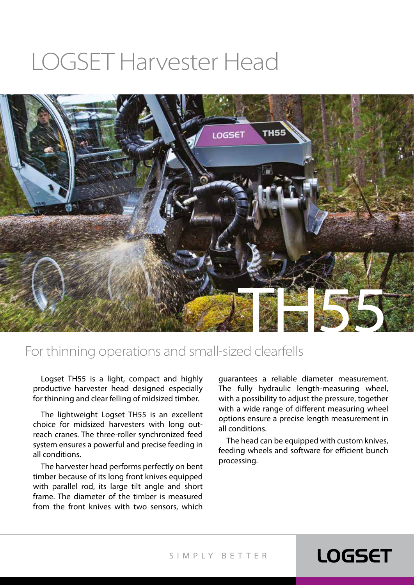# LOGSET Harvester Head



#### For thinning operations and small-sized clearfells

Logset TH55 is a light, compact and highly productive harvester head designed especially for thinning and clear felling of midsized timber.

The lightweight Logset TH55 is an excellent choice for midsized harvesters with long outreach cranes. The three-roller synchronized feed system ensures a powerful and precise feeding in all conditions.

The harvester head performs perfectly on bent timber because of its long front knives equipped with parallel rod, its large tilt angle and short frame. The diameter of the timber is measured from the front knives with two sensors, which

guarantees a reliable diameter measurement. The fully hydraulic length-measuring wheel, with a possibility to adjust the pressure, together with a wide range of different measuring wheel options ensure a precise length measurement in all conditions.

The head can be equipped with custom knives, feeding wheels and software for efficient bunch processing.

### **LOGSET**

SIMPLY BET TER